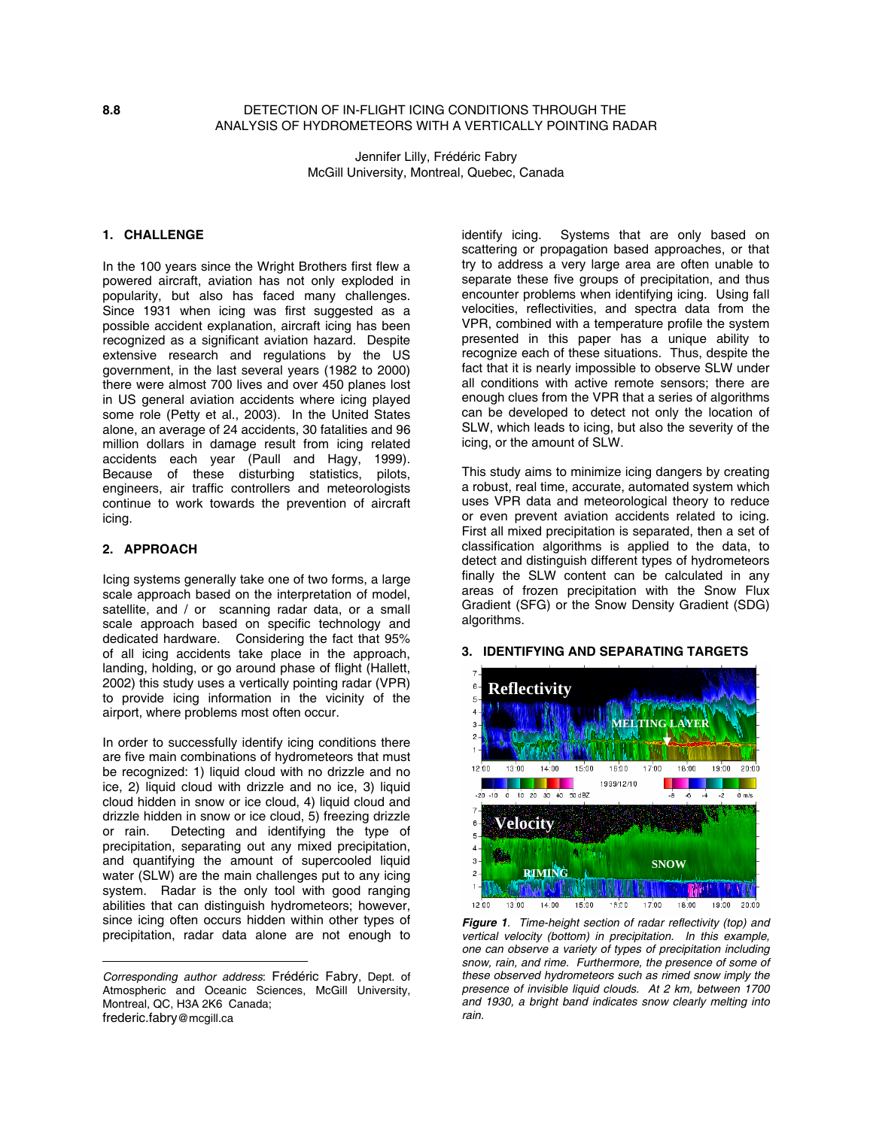# **8.8** DETECTION OF IN-FLIGHT ICING CONDITIONS THROUGH THE ANALYSIS OF HYDROMETEORS WITH A VERTICALLY POINTING RADAR

Jennifer Lilly, Frédéric Fabry McGill University, Montreal, Quebec, Canada

# **1. CHALLENGE**

In the 100 years since the Wright Brothers first flew a powered aircraft, aviation has not only exploded in popularity, but also has faced many challenges. Since 1931 when icing was first suggested as a possible accident explanation, aircraft icing has been recognized as a significant aviation hazard. Despite extensive research and regulations by the US government, in the last several years (1982 to 2000) there were almost 700 lives and over 450 planes lost in US general aviation accidents where icing played some role (Petty et al., 2003). In the United States alone, an average of 24 accidents, 30 fatalities and 96 million dollars in damage result from icing related accidents each year (Paull and Hagy, 1999). Because of these disturbing statistics, pilots, engineers, air traffic controllers and meteorologists continue to work towards the prevention of aircraft icing.

#### **2. APPROACH**

 $\overline{a}$ 

Icing systems generally take one of two forms, a large scale approach based on the interpretation of model, satellite, and / or scanning radar data, or a small scale approach based on specific technology and dedicated hardware. Considering the fact that 95% of all icing accidents take place in the approach, landing, holding, or go around phase of flight (Hallett, 2002) this study uses a vertically pointing radar (VPR) to provide icing information in the vicinity of the airport, where problems most often occur.

In order to successfully identify icing conditions there are five main combinations of hydrometeors that must be recognized: 1) liquid cloud with no drizzle and no ice, 2) liquid cloud with drizzle and no ice, 3) liquid cloud hidden in snow or ice cloud, 4) liquid cloud and drizzle hidden in snow or ice cloud, 5) freezing drizzle or rain. Detecting and identifying the type of precipitation, separating out any mixed precipitation, and quantifying the amount of supercooled liquid water (SLW) are the main challenges put to any icing system. Radar is the only tool with good ranging abilities that can distinguish hydrometeors; however, since icing often occurs hidden within other types of precipitation, radar data alone are not enough to

identify icing. Systems that are only based on scattering or propagation based approaches, or that try to address a very large area are often unable to separate these five groups of precipitation, and thus encounter problems when identifying icing. Using fall velocities, reflectivities, and spectra data from the VPR, combined with a temperature profile the system presented in this paper has a unique ability to recognize each of these situations. Thus, despite the fact that it is nearly impossible to observe SLW under all conditions with active remote sensors; there are enough clues from the VPR that a series of algorithms can be developed to detect not only the location of SLW, which leads to icing, but also the severity of the icing, or the amount of SLW.

This study aims to minimize icing dangers by creating a robust, real time, accurate, automated system which uses VPR data and meteorological theory to reduce or even prevent aviation accidents related to icing. First all mixed precipitation is separated, then a set of classification algorithms is applied to the data, to detect and distinguish different types of hydrometeors finally the SLW content can be calculated in any areas of frozen precipitation with the Snow Flux Gradient (SFG) or the Snow Density Gradient (SDG) algorithms.



### **3. IDENTIFYING AND SEPARATING TARGETS**

*Corresponding author address*: Frédéric Fabry, Dept. of Atmospheric and Oceanic Sciences, McGill University, Montreal, QC, H3A 2K6 Canada; frederic.fabry@mcgill.ca

*Figure 1. Time-height section of radar reflectivity (top) and vertical velocity (bottom) in precipitation. In this example, one can observe a variety of types of precipitation including snow, rain, and rime. Furthermore, the presence of some of these observed hydrometeors such as rimed snow imply the presence of invisible liquid clouds. At 2 km, between 1700 and 1930, a bright band indicates snow clearly melting into rain.*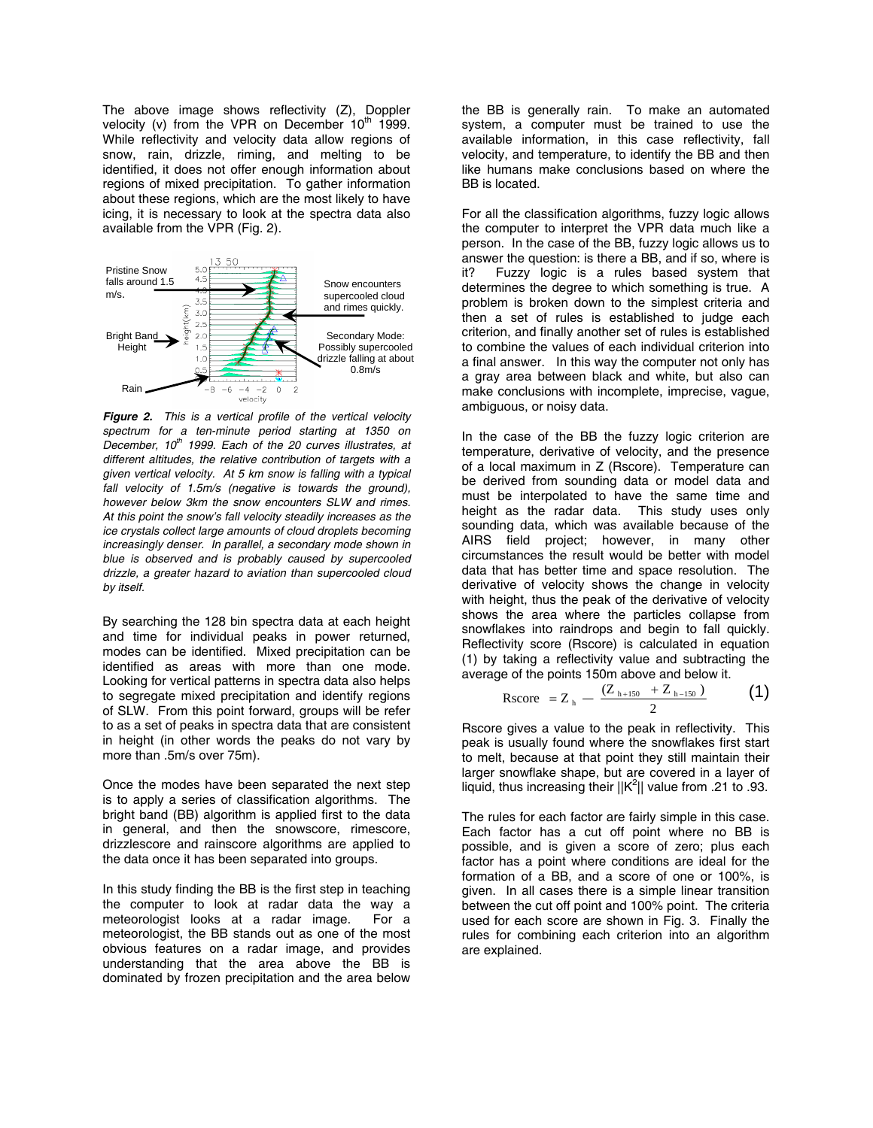The above image shows reflectivity (Z), Doppler velocity (v) from the VPR on December  $10<sup>th</sup>$  1999. While reflectivity and velocity data allow regions of snow, rain, drizzle, riming, and melting to be identified, it does not offer enough information about regions of mixed precipitation. To gather information about these regions, which are the most likely to have icing, it is necessary to look at the spectra data also available from the VPR (Fig. 2).



*Figure 2. This is a vertical profile of the vertical velocity spectrum for a ten-minute period starting at 1350 on December, 10th 1999. Each of the 20 curves illustrates, at different altitudes, the relative contribution of targets with a given vertical velocity. At 5 km snow is falling with a typical fall velocity of 1.5m/s (negative is towards the ground), however below 3km the snow encounters SLW and rimes. At this point the snow's fall velocity steadily increases as the ice crystals collect large amounts of cloud droplets becoming increasingly denser. In parallel, a secondary mode shown in blue is observed and is probably caused by supercooled drizzle, a greater hazard to aviation than supercooled cloud by itself.* 

By searching the 128 bin spectra data at each height and time for individual peaks in power returned, modes can be identified. Mixed precipitation can be identified as areas with more than one mode. Looking for vertical patterns in spectra data also helps to segregate mixed precipitation and identify regions of SLW. From this point forward, groups will be refer to as a set of peaks in spectra data that are consistent in height (in other words the peaks do not vary by more than .5m/s over 75m).

Once the modes have been separated the next step is to apply a series of classification algorithms. The bright band (BB) algorithm is applied first to the data in general, and then the snowscore, rimescore, drizzlescore and rainscore algorithms are applied to the data once it has been separated into groups.

In this study finding the BB is the first step in teaching the computer to look at radar data the way a meteorologist looks at a radar image. For a meteorologist, the BB stands out as one of the most obvious features on a radar image, and provides understanding that the area above the BB is dominated by frozen precipitation and the area below

the BB is generally rain. To make an automated system, a computer must be trained to use the available information, in this case reflectivity, fall velocity, and temperature, to identify the BB and then like humans make conclusions based on where the BB is located.

For all the classification algorithms, fuzzy logic allows the computer to interpret the VPR data much like a person. In the case of the BB, fuzzy logic allows us to answer the question: is there a BB, and if so, where is it? Fuzzy logic is a rules based system that determines the degree to which something is true. A problem is broken down to the simplest criteria and then a set of rules is established to judge each criterion, and finally another set of rules is established to combine the values of each individual criterion into a final answer. In this way the computer not only has a gray area between black and white, but also can make conclusions with incomplete, imprecise, vague, ambiguous, or noisy data.

In the case of the BB the fuzzy logic criterion are temperature, derivative of velocity, and the presence of a local maximum in Z (Rscore). Temperature can be derived from sounding data or model data and must be interpolated to have the same time and height as the radar data. This study uses only sounding data, which was available because of the AIRS field project; however, in many other circumstances the result would be better with model data that has better time and space resolution. The derivative of velocity shows the change in velocity with height, thus the peak of the derivative of velocity shows the area where the particles collapse from snowflakes into raindrops and begin to fall quickly. Reflectivity score (Rscore) is calculated in equation (1) by taking a reflectivity value and subtracting the average of the points 150m above and below it.

$$
Rscore = Z_h - \frac{(Z_{h+150} + Z_{h-150})}{2}
$$
 (1)

Rscore gives a value to the peak in reflectivity. This peak is usually found where the snowflakes first start to melt, because at that point they still maintain their larger snowflake shape, but are covered in a layer of liquid, thus increasing their  $||K^2||$  value from .21 to .93.

The rules for each factor are fairly simple in this case. Each factor has a cut off point where no BB is possible, and is given a score of zero; plus each factor has a point where conditions are ideal for the formation of a BB, and a score of one or 100%, is given. In all cases there is a simple linear transition between the cut off point and 100% point. The criteria used for each score are shown in Fig. 3. Finally the rules for combining each criterion into an algorithm are explained.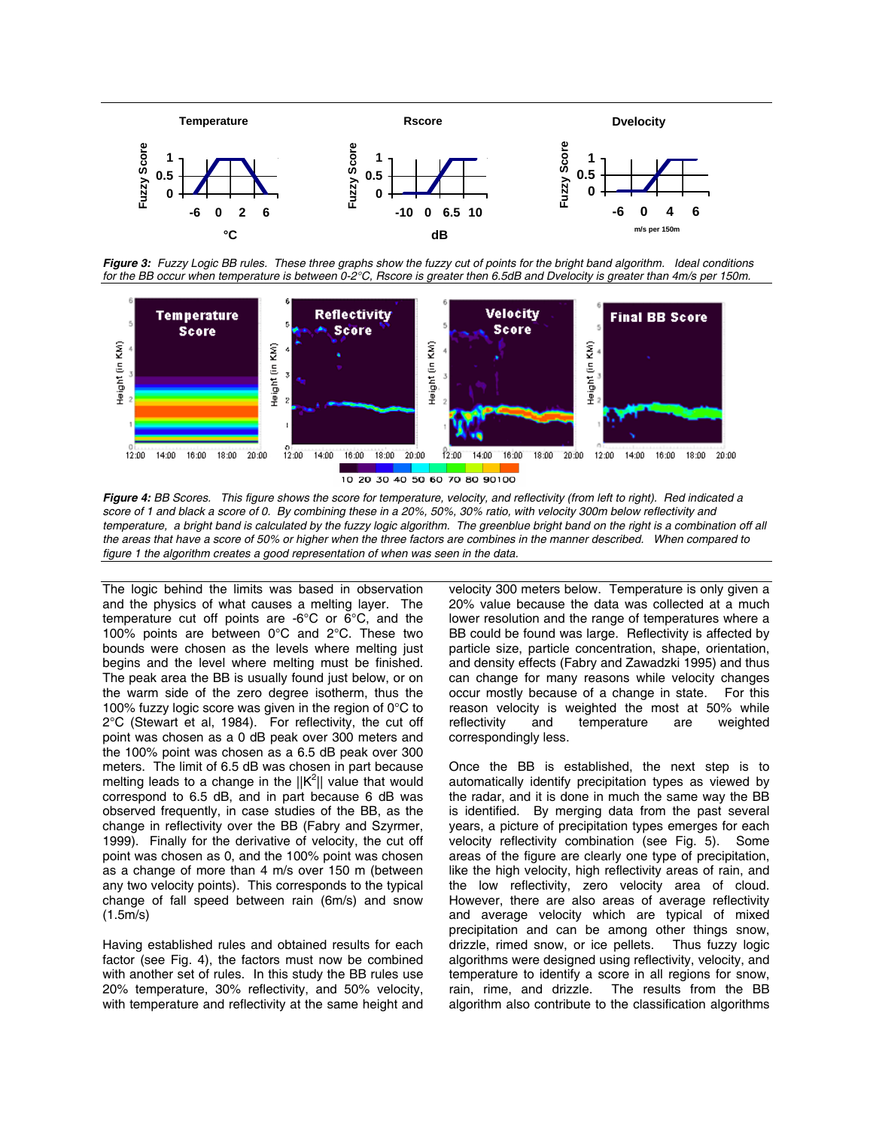

  *Figure 3: Fuzzy Logic BB rules. These three graphs show the fuzzy cut of points for the bright band algorithm. Ideal conditions for the BB occur when temperature is between 0-2°C, Rscore is greater then 6.5dB and Dvelocity is greater than 4m/s per 150m.* 



*Figure 4: BB Scores. This figure shows the score for temperature, velocity, and reflectivity (from left to right). Red indicated a score of 1 and black a score of 0. By combining these in a 20%, 50%, 30% ratio, with velocity 300m below reflectivity and*  temperature, a bright band is calculated by the fuzzy logic algorithm. The greenblue bright band on the right is a combination off all *the areas that have a score of 50% or higher when the three factors are combines in the manner described. When compared to figure 1 the algorithm creates a good representation of when was seen in the data.* 

The logic behind the limits was based in observation and the physics of what causes a melting layer. The temperature cut off points are -6°C or 6°C, and the 100% points are between 0°C and 2°C. These two bounds were chosen as the levels where melting just begins and the level where melting must be finished. The peak area the BB is usually found just below, or on the warm side of the zero degree isotherm, thus the 100% fuzzy logic score was given in the region of 0°C to 2°C (Stewart et al, 1984). For reflectivity, the cut off point was chosen as a 0 dB peak over 300 meters and the 100% point was chosen as a 6.5 dB peak over 300 meters. The limit of 6.5 dB was chosen in part because melting leads to a change in the  $||K^2||$  value that would correspond to 6.5 dB, and in part because 6 dB was observed frequently, in case studies of the BB, as the change in reflectivity over the BB (Fabry and Szyrmer, 1999). Finally for the derivative of velocity, the cut off point was chosen as 0, and the 100% point was chosen as a change of more than 4 m/s over 150 m (between any two velocity points). This corresponds to the typical change of fall speed between rain (6m/s) and snow (1.5m/s)

Having established rules and obtained results for each factor (see Fig. 4), the factors must now be combined with another set of rules. In this study the BB rules use 20% temperature, 30% reflectivity, and 50% velocity, with temperature and reflectivity at the same height and

velocity 300 meters below. Temperature is only given a 20% value because the data was collected at a much lower resolution and the range of temperatures where a BB could be found was large. Reflectivity is affected by particle size, particle concentration, shape, orientation, and density effects (Fabry and Zawadzki 1995) and thus can change for many reasons while velocity changes occur mostly because of a change in state. For this reason velocity is weighted the most at 50% while reflectivity and temperature are weighted correspondingly less.

Once the BB is established, the next step is to automatically identify precipitation types as viewed by the radar, and it is done in much the same way the BB is identified. By merging data from the past several years, a picture of precipitation types emerges for each velocity reflectivity combination (see Fig. 5). Some areas of the figure are clearly one type of precipitation, like the high velocity, high reflectivity areas of rain, and the low reflectivity, zero velocity area of cloud. However, there are also areas of average reflectivity and average velocity which are typical of mixed precipitation and can be among other things snow, drizzle, rimed snow, or ice pellets. Thus fuzzy logic algorithms were designed using reflectivity, velocity, and temperature to identify a score in all regions for snow, rain, rime, and drizzle. The results from the BB algorithm also contribute to the classification algorithms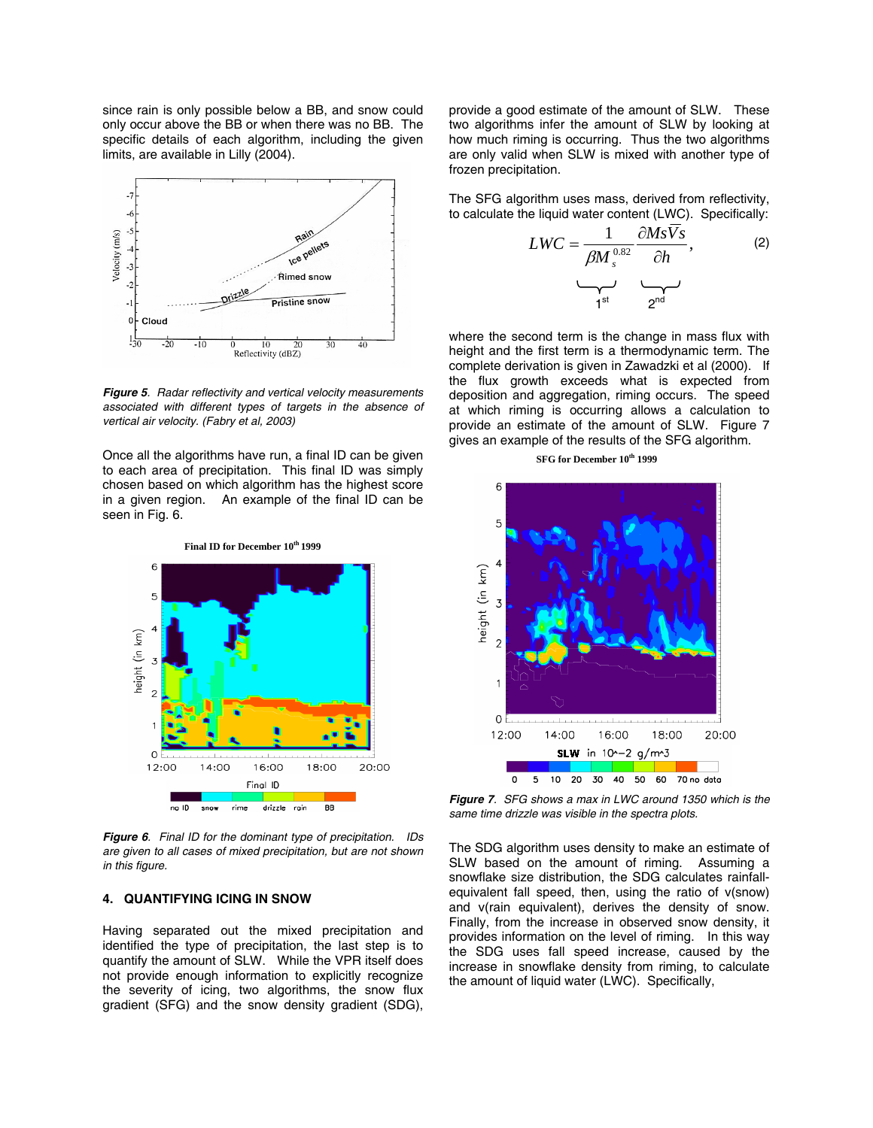since rain is only possible below a BB, and snow could only occur above the BB or when there was no BB. The specific details of each algorithm, including the given limits, are available in Lilly (2004).



*Figure 5. Radar reflectivity and vertical velocity measurements associated with different types of targets in the absence of vertical air velocity. (Fabry et al, 2003)* 

Once all the algorithms have run, a final ID can be given to each area of precipitation. This final ID was simply chosen based on which algorithm has the highest score in a given region. An example of the final ID can be seen in Fig. 6.



*Figure 6. Final ID for the dominant type of precipitation. IDs are given to all cases of mixed precipitation, but are not shown in this figure.* 

#### **4. QUANTIFYING ICING IN SNOW**

Having separated out the mixed precipitation and identified the type of precipitation, the last step is to quantify the amount of SLW. While the VPR itself does not provide enough information to explicitly recognize the severity of icing, two algorithms, the snow flux gradient (SFG) and the snow density gradient (SDG),

provide a good estimate of the amount of SLW. These two algorithms infer the amount of SLW by looking at how much riming is occurring. Thus the two algorithms are only valid when SLW is mixed with another type of frozen precipitation.

The SFG algorithm uses mass, derived from reflectivity, to calculate the liquid water content (LWC). Specifically:

$$
LWC = \frac{1}{\beta M_s^{0.82}} \frac{\partial Ms \overline{V}s}{\partial h},
$$
 (2)

where the second term is the change in mass flux with height and the first term is a thermodynamic term. The complete derivation is given in Zawadzki et al (2000). If the flux growth exceeds what is expected from deposition and aggregation, riming occurs. The speed at which riming is occurring allows a calculation to provide an estimate of the amount of SLW. Figure 7 gives an example of the results of the SFG algorithm.

**SFG for December 10th 1999** 



*Figure 7. SFG shows a max in LWC around 1350 which is the same time drizzle was visible in the spectra plots.* 

The SDG algorithm uses density to make an estimate of SLW based on the amount of riming. Assuming a snowflake size distribution, the SDG calculates rainfallequivalent fall speed, then, using the ratio of v(snow) and v(rain equivalent), derives the density of snow. Finally, from the increase in observed snow density, it provides information on the level of riming. In this way the SDG uses fall speed increase, caused by the increase in snowflake density from riming, to calculate the amount of liquid water (LWC). Specifically,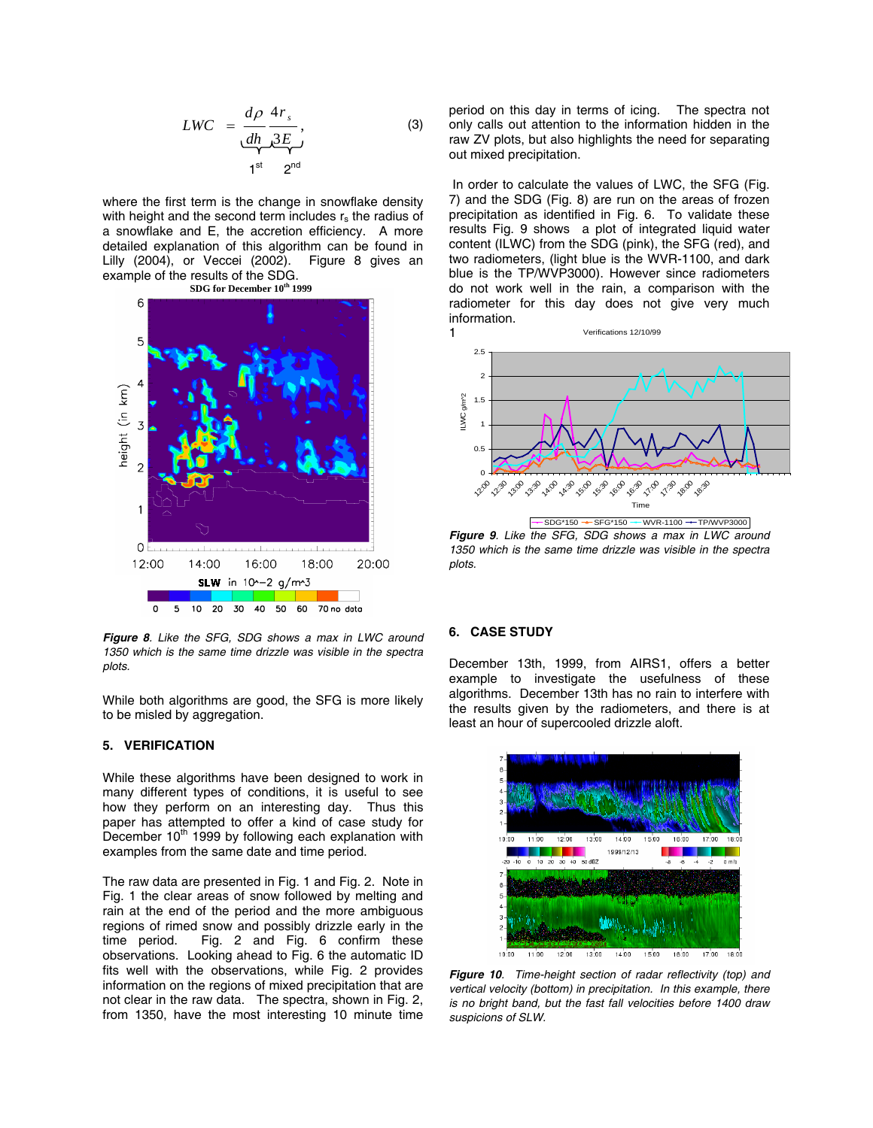$$
LWC = \frac{d\rho}{dh} \frac{4r_s}{3E},
$$
\n(3)

where the first term is the change in snowflake density with height and the second term includes  $r_s$  the radius of a snowflake and E, the accretion efficiency. A more detailed explanation of this algorithm can be found in Lilly (2004), or Veccei (2002). Figure 8 gives an example of the results of the SDG.



*Figure 8. Like the SFG, SDG shows a max in LWC around 1350 which is the same time drizzle was visible in the spectra plots.* 

While both algorithms are good, the SFG is more likely to be misled by aggregation.

#### **5. VERIFICATION**

While these algorithms have been designed to work in many different types of conditions, it is useful to see how they perform on an interesting day. Thus this paper has attempted to offer a kind of case study for December 10<sup>th</sup> 1999 by following each explanation with examples from the same date and time period.

The raw data are presented in Fig. 1 and Fig. 2. Note in Fig. 1 the clear areas of snow followed by melting and rain at the end of the period and the more ambiguous regions of rimed snow and possibly drizzle early in the time period. Fig. 2 and Fig. 6 confirm these observations. Looking ahead to Fig. 6 the automatic ID fits well with the observations, while Fig. 2 provides information on the regions of mixed precipitation that are not clear in the raw data. The spectra, shown in Fig. 2, from 1350, have the most interesting 10 minute time

period on this day in terms of icing. The spectra not only calls out attention to the information hidden in the raw ZV plots, but also highlights the need for separating out mixed precipitation.

In order to calculate the values of LWC, the SFG (Fig. 7) and the SDG (Fig. 8) are run on the areas of frozen precipitation as identified in Fig. 6. To validate these results Fig. 9 shows a plot of integrated liquid water content (ILWC) from the SDG (pink), the SFG (red), and two radiometers, (light blue is the WVR-1100, and dark blue is the TP/WVP3000). However since radiometers do not work well in the rain, a comparison with the radiometer for this day does not give very much information.



*Figure 9. Like the SFG, SDG shows a max in LWC around 1350 which is the same time drizzle was visible in the spectra plots.* 

#### **6. CASE STUDY**

December 13th, 1999, from AIRS1, offers a better example to investigate the usefulness of these algorithms. December 13th has no rain to interfere with the results given by the radiometers, and there is at least an hour of supercooled drizzle aloft.



*Figure 10. Time-height section of radar reflectivity (top) and vertical velocity (bottom) in precipitation. In this example, there is no bright band, but the fast fall velocities before 1400 draw suspicions of SLW.*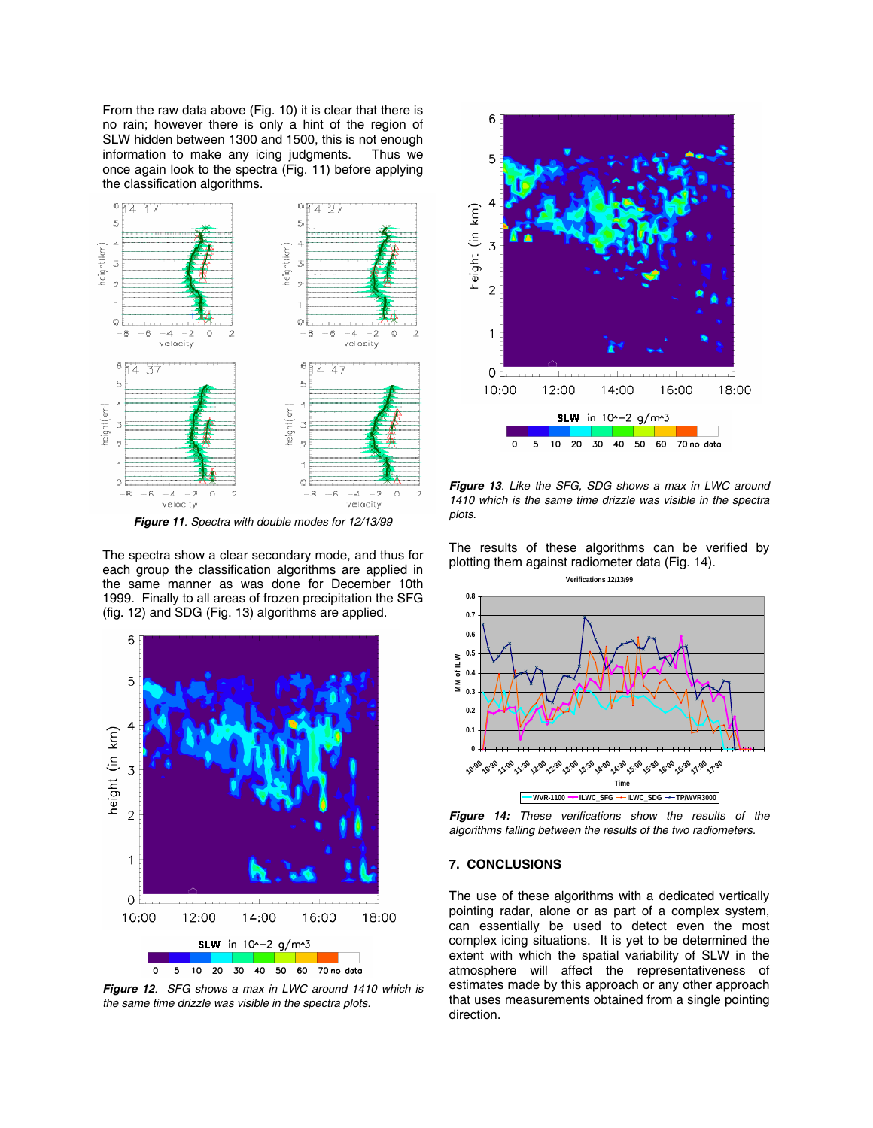From the raw data above (Fig. 10) it is clear that there is no rain; however there is only a hint of the region of SLW hidden between 1300 and 1500, this is not enough information to make any icing judgments. Thus we once again look to the spectra (Fig. 11) before applying the classification algorithms.



*Figure 11. Spectra with double modes for 12/13/99*

The spectra show a clear secondary mode, and thus for each group the classification algorithms are applied in the same manner as was done for December 10th 1999. Finally to all areas of frozen precipitation the SFG (fig. 12) and SDG (Fig. 13) algorithms are applied.



*Figure 12. SFG shows a max in LWC around 1410 which is the same time drizzle was visible in the spectra plots.* 



*Figure 13. Like the SFG, SDG shows a max in LWC around 1410 which is the same time drizzle was visible in the spectra plots.* 

The results of these algorithms can be verified by plotting them against radiometer data (Fig. 14).



*Figure 14: These verifications show the results of the algorithms falling between the results of the two radiometers.* 

#### **7. CONCLUSIONS**

The use of these algorithms with a dedicated vertically pointing radar, alone or as part of a complex system, can essentially be used to detect even the most complex icing situations. It is yet to be determined the extent with which the spatial variability of SLW in the atmosphere will affect the representativeness of estimates made by this approach or any other approach that uses measurements obtained from a single pointing direction.